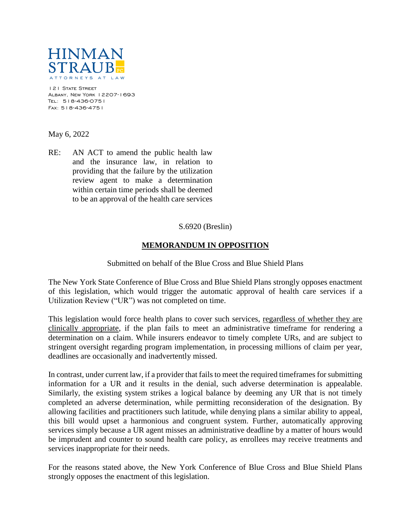

121 STATE STREET Albany, New York 12207-1693 Tel: 518-436-0751 Fax: 518-436-4751

May 6, 2022

RE: AN ACT to amend the public health law and the insurance law, in relation to providing that the failure by the utilization review agent to make a determination within certain time periods shall be deemed to be an approval of the health care services

## S.6920 (Breslin)

## **MEMORANDUM IN OPPOSITION**

## Submitted on behalf of the Blue Cross and Blue Shield Plans

The New York State Conference of Blue Cross and Blue Shield Plans strongly opposes enactment of this legislation, which would trigger the automatic approval of health care services if a Utilization Review ("UR") was not completed on time.

This legislation would force health plans to cover such services, regardless of whether they are clinically appropriate, if the plan fails to meet an administrative timeframe for rendering a determination on a claim. While insurers endeavor to timely complete URs, and are subject to stringent oversight regarding program implementation, in processing millions of claim per year, deadlines are occasionally and inadvertently missed.

In contrast, under current law, if a provider that fails to meet the required timeframes for submitting information for a UR and it results in the denial, such adverse determination is appealable. Similarly, the existing system strikes a logical balance by deeming any UR that is not timely completed an adverse determination, while permitting reconsideration of the designation. By allowing facilities and practitioners such latitude, while denying plans a similar ability to appeal, this bill would upset a harmonious and congruent system. Further, automatically approving services simply because a UR agent misses an administrative deadline by a matter of hours would be imprudent and counter to sound health care policy, as enrollees may receive treatments and services inappropriate for their needs.

For the reasons stated above, the New York Conference of Blue Cross and Blue Shield Plans strongly opposes the enactment of this legislation.